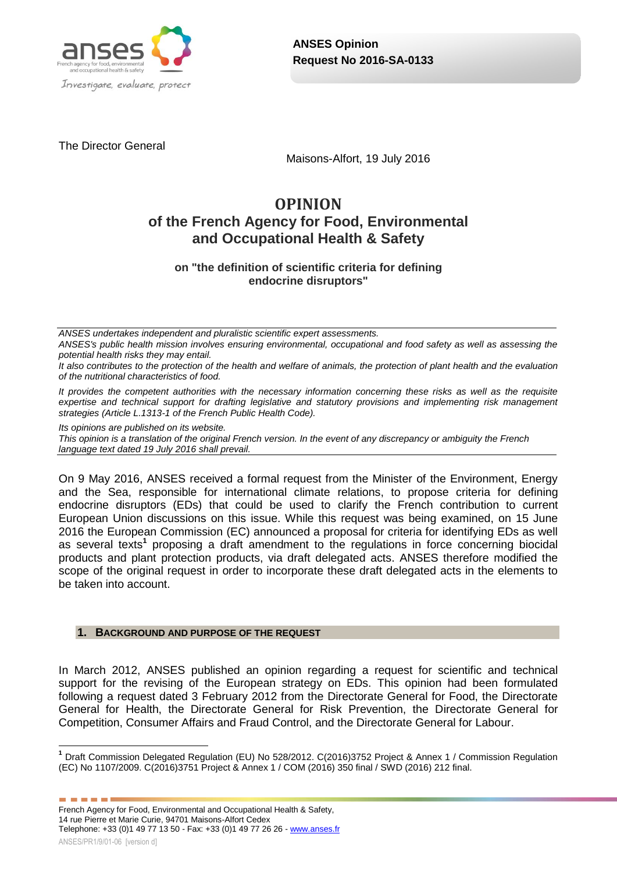

The Director General

Maisons-Alfort, 19 July 2016

# **OPINION of the French Agency for Food, Environmental and Occupational Health & Safety**

**on "the definition of scientific criteria for defining endocrine disruptors"**

*ANSES undertakes independent and pluralistic scientific expert assessments.*

*ANSES's public health mission involves ensuring environmental, occupational and food safety as well as assessing the potential health risks they may entail.*

*It also contributes to the protection of the health and welfare of animals, the protection of plant health and the evaluation of the nutritional characteristics of food.*

*It provides the competent authorities with the necessary information concerning these risks as well as the requisite expertise and technical support for drafting legislative and statutory provisions and implementing risk management strategies (Article L.1313-1 of the French Public Health Code).* 

*Its opinions are published on its website.* 

*This opinion is a translation of the original French version. In the event of any discrepancy or ambiguity the French language text dated 19 July 2016 shall prevail.*

On 9 May 2016, ANSES received a formal request from the Minister of the Environment, Energy and the Sea, responsible for international climate relations, to propose criteria for defining endocrine disruptors (EDs) that could be used to clarify the French contribution to current European Union discussions on this issue. While this request was being examined, on 15 June 2016 the European Commission (EC) announced a proposal for criteria for identifying EDs as well as several texts**<sup>1</sup>** proposing a draft amendment to the regulations in force concerning biocidal products and plant protection products, via draft delegated acts. ANSES therefore modified the scope of the original request in order to incorporate these draft delegated acts in the elements to be taken into account.

### **1. BACKGROUND AND PURPOSE OF THE REQUEST**

In March 2012, ANSES published an opinion regarding a request for scientific and technical support for the revising of the European strategy on EDs. This opinion had been formulated following a request dated 3 February 2012 from the Directorate General for Food, the Directorate General for Health, the Directorate General for Risk Prevention, the Directorate General for Competition, Consumer Affairs and Fraud Control, and the Directorate General for Labour.

------

 $\overline{1}$ **<sup>1</sup>** Draft Commission Delegated Regulation (EU) No 528/2012. C(2016)3752 Project & Annex 1 / Commission Regulation (EC) No 1107/2009. C(2016)3751 Project & Annex 1 / COM (2016) 350 final / SWD (2016) 212 final.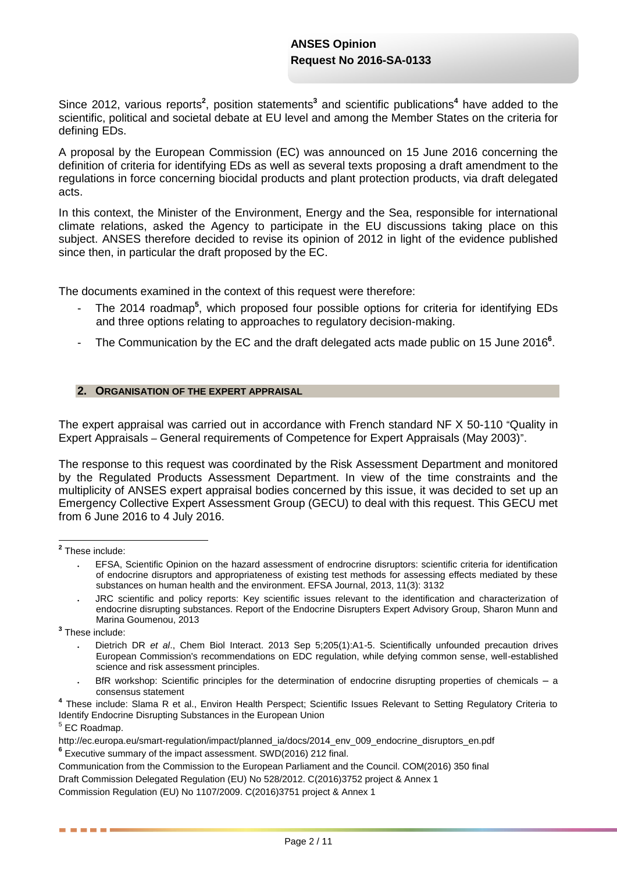Since 2012, various reports<sup>2</sup>, position statements<sup>3</sup> and scientific publications<sup>4</sup> have added to the scientific, political and societal debate at EU level and among the Member States on the criteria for defining EDs.

A proposal by the European Commission (EC) was announced on 15 June 2016 concerning the definition of criteria for identifying EDs as well as several texts proposing a draft amendment to the regulations in force concerning biocidal products and plant protection products, via draft delegated acts.

In this context, the Minister of the Environment, Energy and the Sea, responsible for international climate relations, asked the Agency to participate in the EU discussions taking place on this subject. ANSES therefore decided to revise its opinion of 2012 in light of the evidence published since then, in particular the draft proposed by the EC.

The documents examined in the context of this request were therefore:

- The 2014 roadmap<sup>5</sup>, which proposed four possible options for criteria for identifying EDs and three options relating to approaches to regulatory decision-making.
- The Communication by the EC and the draft delegated acts made public on 15 June 2016<sup>6</sup>.

### **2. ORGANISATION OF THE EXPERT APPRAISAL**

The expert appraisal was carried out in accordance with French standard NF X 50-110 "Quality in Expert Appraisals – General requirements of Competence for Expert Appraisals (May 2003)".

The response to this request was coordinated by the Risk Assessment Department and monitored by the Regulated Products Assessment Department. In view of the time constraints and the multiplicity of ANSES expert appraisal bodies concerned by this issue, it was decided to set up an Emergency Collective Expert Assessment Group (GECU) to deal with this request. This GECU met from 6 June 2016 to 4 July 2016.

**2** These include:

**3** These include:

 $<sup>5</sup>$  EC Roadmap.</sup>

. . . . .

EFSA, Scientific Opinion on the hazard assessment of endrocrine disruptors: scientific criteria for identification of endocrine disruptors and appropriateness of existing test methods for assessing effects mediated by these substances on human health and the environment. EFSA Journal, 2013, 11(3): 3132

JRC scientific and policy reports: Key scientific issues relevant to the identification and characterization of endocrine disrupting substances. Report of the Endocrine Disrupters Expert Advisory Group, Sharon Munn and Marina Goumenou, 2013

Dietrich DR *et al*., Chem Biol Interact. 2013 Sep 5;205(1):A1-5. Scientifically unfounded precaution drives European Commission's recommendations on EDC regulation, while defying common sense, well-established science and risk assessment principles.

BfR workshop: Scientific principles for the determination of endocrine disrupting properties of chemicals – a consensus statement

**<sup>4</sup>** These include: Slama R et al., Environ Health Perspect; Scientific Issues Relevant to Setting Regulatory Criteria to Identify Endocrine Disrupting Substances in the European Union

[http://ec.europa.eu/smart-regulation/impact/planned\\_ia/docs/2014\\_env\\_009\\_endocrine\\_disruptors\\_en.pdf](http://ec.europa.eu/smart-regulation/impact/planned_ia/docs/2014_env_009_endocrine_disruptors_en.pdf)

**<sup>6</sup>** Executive summary of the impact assessment. SWD(2016) 212 final.

Communication from the Commission to the European Parliament and the Council. COM(2016) 350 final Draft Commission Delegated Regulation (EU) No 528/2012. C(2016)3752 project & Annex 1 Commission Regulation (EU) No 1107/2009. C(2016)3751 project & Annex 1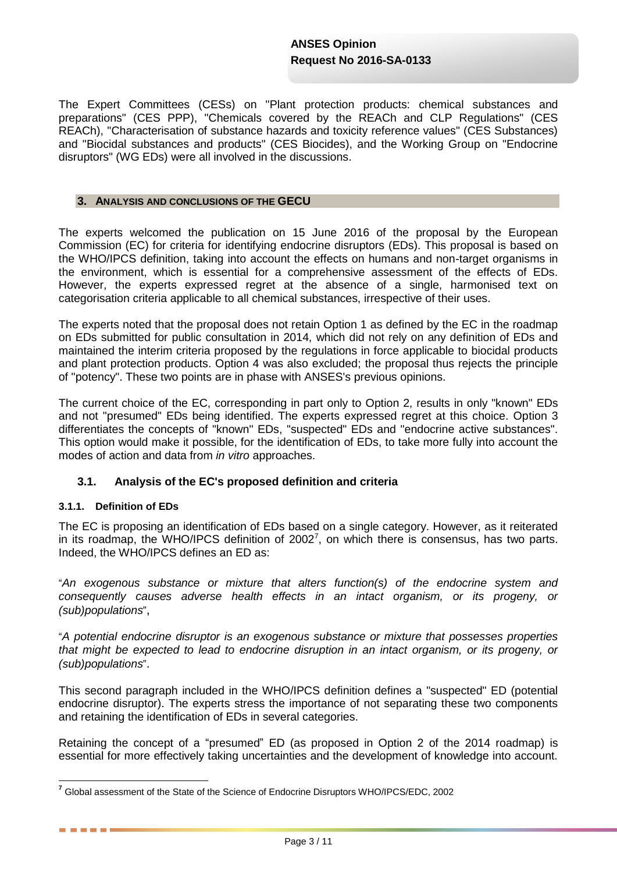The Expert Committees (CESs) on "Plant protection products: chemical substances and preparations" (CES PPP), "Chemicals covered by the REACh and CLP Regulations" (CES REACh), "Characterisation of substance hazards and toxicity reference values" (CES Substances) and "Biocidal substances and products" (CES Biocides), and the Working Group on "Endocrine disruptors" (WG EDs) were all involved in the discussions.

### **3. ANALYSIS AND CONCLUSIONS OF THE GECU**

The experts welcomed the publication on 15 June 2016 of the proposal by the European Commission (EC) for criteria for identifying endocrine disruptors (EDs). This proposal is based on the WHO/IPCS definition, taking into account the effects on humans and non-target organisms in the environment, which is essential for a comprehensive assessment of the effects of EDs. However, the experts expressed regret at the absence of a single, harmonised text on categorisation criteria applicable to all chemical substances, irrespective of their uses.

The experts noted that the proposal does not retain Option 1 as defined by the EC in the roadmap on EDs submitted for public consultation in 2014, which did not rely on any definition of EDs and maintained the interim criteria proposed by the regulations in force applicable to biocidal products and plant protection products. Option 4 was also excluded; the proposal thus rejects the principle of "potency". These two points are in phase with ANSES's previous opinions.

The current choice of the EC, corresponding in part only to Option 2, results in only "known" EDs and not "presumed" EDs being identified. The experts expressed regret at this choice. Option 3 differentiates the concepts of "known" EDs, "suspected" EDs and "endocrine active substances". This option would make it possible, for the identification of EDs, to take more fully into account the modes of action and data from *in vitro* approaches.

# **3.1. Analysis of the EC's proposed definition and criteria**

# **3.1.1. Definition of EDs**

 $\overline{a}$ 

. . . .

The EC is proposing an identification of EDs based on a single category. However, as it reiterated in its roadmap, the WHO/IPCS definition of 2002<sup>7</sup>, on which there is consensus, has two parts. Indeed, the WHO/IPCS defines an ED as:

"*An exogenous substance or mixture that alters function(s) of the endocrine system and consequently causes adverse health effects in an intact organism, or its progeny, or (sub)populations*",

"*A potential endocrine disruptor is an exogenous substance or mixture that possesses properties*  that might be expected to lead to endocrine disruption in an intact organism, or its progeny, or *(sub)populations*".

This second paragraph included in the WHO/IPCS definition defines a "suspected" ED (potential endocrine disruptor). The experts stress the importance of not separating these two components and retaining the identification of EDs in several categories.

Retaining the concept of a "presumed" ED (as proposed in Option 2 of the 2014 roadmap) is essential for more effectively taking uncertainties and the development of knowledge into account.

**<sup>7</sup>** Global assessment of the State of the Science of Endocrine Disruptors WHO/IPCS/EDC, 2002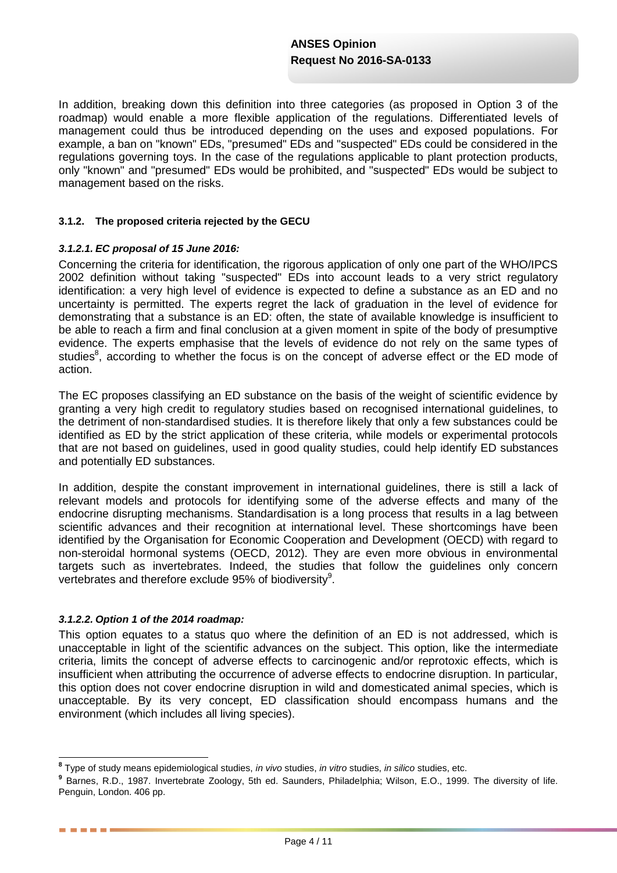In addition, breaking down this definition into three categories (as proposed in Option 3 of the roadmap) would enable a more flexible application of the regulations. Differentiated levels of management could thus be introduced depending on the uses and exposed populations. For example, a ban on "known" EDs, "presumed" EDs and "suspected" EDs could be considered in the regulations governing toys. In the case of the regulations applicable to plant protection products, only "known" and "presumed" EDs would be prohibited, and "suspected" EDs would be subject to management based on the risks.

### **3.1.2. The proposed criteria rejected by the GECU**

### *3.1.2.1. EC proposal of 15 June 2016:*

Concerning the criteria for identification, the rigorous application of only one part of the WHO/IPCS 2002 definition without taking "suspected" EDs into account leads to a very strict regulatory identification: a very high level of evidence is expected to define a substance as an ED and no uncertainty is permitted. The experts regret the lack of graduation in the level of evidence for demonstrating that a substance is an ED: often, the state of available knowledge is insufficient to be able to reach a firm and final conclusion at a given moment in spite of the body of presumptive evidence. The experts emphasise that the levels of evidence do not rely on the same types of studies<sup>8</sup>, according to whether the focus is on the concept of adverse effect or the ED mode of action.

The EC proposes classifying an ED substance on the basis of the weight of scientific evidence by granting a very high credit to regulatory studies based on recognised international guidelines, to the detriment of non-standardised studies. It is therefore likely that only a few substances could be identified as ED by the strict application of these criteria, while models or experimental protocols that are not based on guidelines, used in good quality studies, could help identify ED substances and potentially ED substances.

In addition, despite the constant improvement in international guidelines, there is still a lack of relevant models and protocols for identifying some of the adverse effects and many of the endocrine disrupting mechanisms. Standardisation is a long process that results in a lag between scientific advances and their recognition at international level. These shortcomings have been identified by the Organisation for Economic Cooperation and Development (OECD) with regard to non-steroidal hormonal systems (OECD, 2012). They are even more obvious in environmental targets such as invertebrates. Indeed, the studies that follow the guidelines only concern vertebrates and therefore exclude 95% of biodiversity $9$ .

### *3.1.2.2. Option 1 of the 2014 roadmap:*

**. . . . .** 

This option equates to a status quo where the definition of an ED is not addressed, which is unacceptable in light of the scientific advances on the subject. This option, like the intermediate criteria, limits the concept of adverse effects to carcinogenic and/or reprotoxic effects, which is insufficient when attributing the occurrence of adverse effects to endocrine disruption. In particular, this option does not cover endocrine disruption in wild and domesticated animal species, which is unacceptable. By its very concept, ED classification should encompass humans and the environment (which includes all living species).

 **8** Type of study means epidemiological studies, *in vivo* studies, *in vitro* studies, *in silico* studies, etc.

**<sup>9</sup>** Barnes, R.D., 1987. Invertebrate Zoology, 5th ed. Saunders, Philadelphia; Wilson, E.O., 1999. The diversity of life. Penguin, London. 406 pp.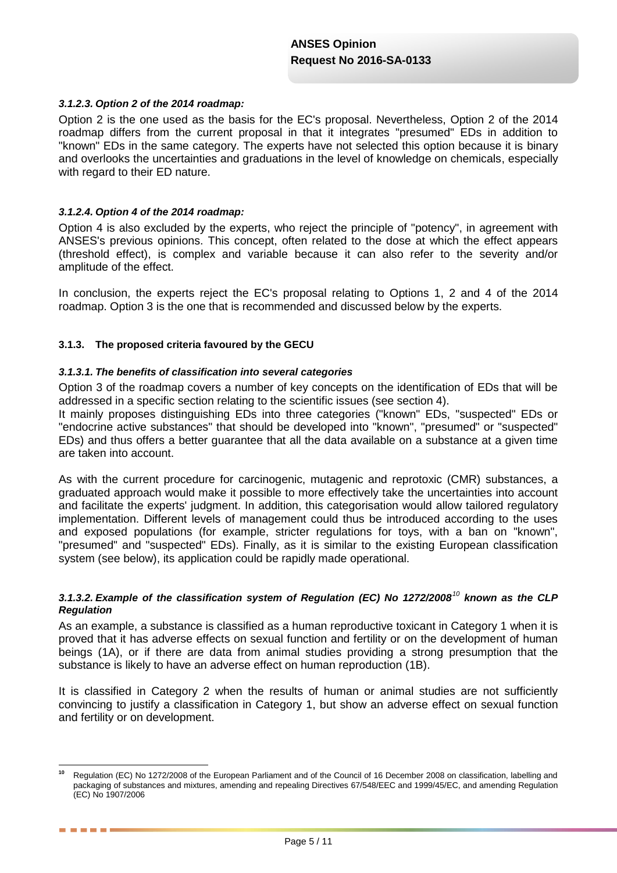### *3.1.2.3. Option 2 of the 2014 roadmap:*

Option 2 is the one used as the basis for the EC's proposal. Nevertheless, Option 2 of the 2014 roadmap differs from the current proposal in that it integrates "presumed" EDs in addition to "known" EDs in the same category. The experts have not selected this option because it is binary and overlooks the uncertainties and graduations in the level of knowledge on chemicals, especially with regard to their ED nature.

### *3.1.2.4. Option 4 of the 2014 roadmap:*

----

Option 4 is also excluded by the experts, who reject the principle of "potency", in agreement with ANSES's previous opinions. This concept, often related to the dose at which the effect appears (threshold effect), is complex and variable because it can also refer to the severity and/or amplitude of the effect.

In conclusion, the experts reject the EC's proposal relating to Options 1, 2 and 4 of the 2014 roadmap. Option 3 is the one that is recommended and discussed below by the experts.

### **3.1.3. The proposed criteria favoured by the GECU**

### *3.1.3.1. The benefits of classification into several categories*

Option 3 of the roadmap covers a number of key concepts on the identification of EDs that will be addressed in a specific section relating to the scientific issues (see section 4).

It mainly proposes distinguishing EDs into three categories ("known" EDs, "suspected" EDs or "endocrine active substances" that should be developed into "known", "presumed" or "suspected" EDs) and thus offers a better guarantee that all the data available on a substance at a given time are taken into account.

As with the current procedure for carcinogenic, mutagenic and reprotoxic (CMR) substances, a graduated approach would make it possible to more effectively take the uncertainties into account and facilitate the experts' judgment. In addition, this categorisation would allow tailored regulatory implementation. Different levels of management could thus be introduced according to the uses and exposed populations (for example, stricter regulations for toys, with a ban on "known", "presumed" and "suspected" EDs). Finally, as it is similar to the existing European classification system (see below), its application could be rapidly made operational.

### *3.1.3.2. Example of the classification system of Regulation (EC) No 1272/2008<sup>10</sup> known as the CLP Regulation*

As an example, a substance is classified as a human reproductive toxicant in Category 1 when it is proved that it has adverse effects on sexual function and fertility or on the development of human beings (1A), or if there are data from animal studies providing a strong presumption that the substance is likely to have an adverse effect on human reproduction (1B).

It is classified in Category 2 when the results of human or animal studies are not sufficiently convincing to justify a classification in Category 1, but show an adverse effect on sexual function and fertility or on development.

 $10$ **<sup>10</sup>** Regulation (EC) No 1272/2008 of the European Parliament and of the Council of 16 December 2008 on classification, labelling and packaging of substances and mixtures, amending and repealing Directives 67/548/EEC and 1999/45/EC, and amending Regulation (EC) No 1907/2006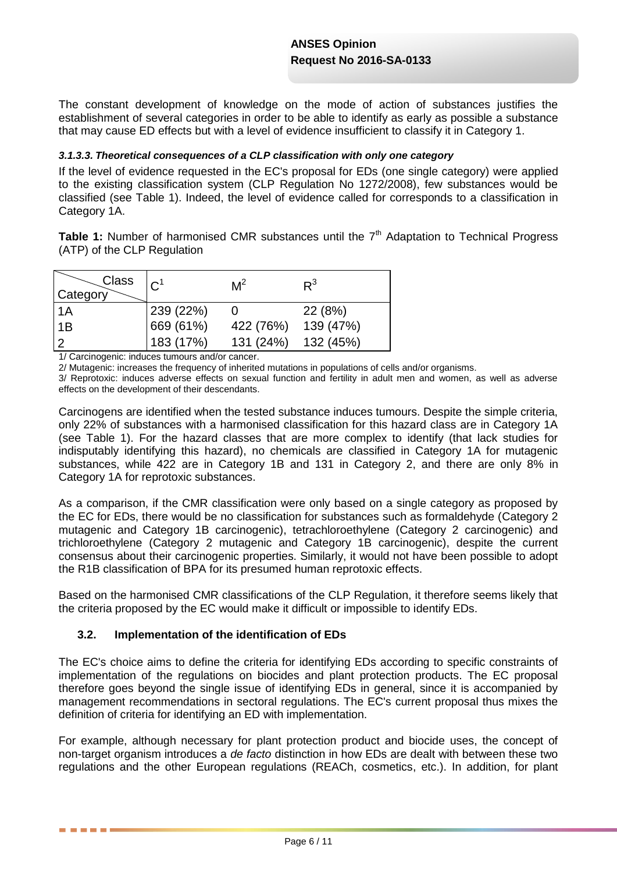The constant development of knowledge on the mode of action of substances justifies the establishment of several categories in order to be able to identify as early as possible a substance that may cause ED effects but with a level of evidence insufficient to classify it in Category 1.

### *3.1.3.3. Theoretical consequences of a CLP classification with only one category*

If the level of evidence requested in the EC's proposal for EDs (one single category) were applied to the existing classification system (CLP Regulation No 1272/2008), few substances would be classified (see Table 1). Indeed, the level of evidence called for corresponds to a classification in Category 1A.

**Table 1:** Number of harmonised CMR substances until the 7<sup>th</sup> Adaptation to Technical Progress (ATP) of the CLP Regulation

| Class<br>Category | C <sup>1</sup> | M <sup>2</sup> | $R^3$     |
|-------------------|----------------|----------------|-----------|
| $\overline{A}$    | 239 (22%)      |                | 22(8%)    |
| l 1B              | 669 (61%)      | 422 (76%)      | 139 (47%) |
| $\overline{2}$    | 183 (17%)      | 131 (24%)      | 132 (45%) |

1/ Carcinogenic: induces tumours and/or cancer.

2/ Mutagenic: increases the frequency of inherited mutations in populations of cells and/or organisms.

3/ Reprotoxic: induces adverse effects on sexual function and fertility in adult men and women, as well as adverse effects on the development of their descendants.

Carcinogens are identified when the tested substance induces tumours. Despite the simple criteria, only 22% of substances with a harmonised classification for this hazard class are in Category 1A (see Table 1). For the hazard classes that are more complex to identify (that lack studies for indisputably identifying this hazard), no chemicals are classified in Category 1A for mutagenic substances, while 422 are in Category 1B and 131 in Category 2, and there are only 8% in Category 1A for reprotoxic substances.

As a comparison, if the CMR classification were only based on a single category as proposed by the EC for EDs, there would be no classification for substances such as formaldehyde (Category 2 mutagenic and Category 1B carcinogenic), tetrachloroethylene (Category 2 carcinogenic) and trichloroethylene (Category 2 mutagenic and Category 1B carcinogenic), despite the current consensus about their carcinogenic properties. Similarly, it would not have been possible to adopt the R1B classification of BPA for its presumed human reprotoxic effects.

Based on the harmonised CMR classifications of the CLP Regulation, it therefore seems likely that the criteria proposed by the EC would make it difficult or impossible to identify EDs.

# **3.2. Implementation of the identification of EDs**

. . . .

The EC's choice aims to define the criteria for identifying EDs according to specific constraints of implementation of the regulations on biocides and plant protection products. The EC proposal therefore goes beyond the single issue of identifying EDs in general, since it is accompanied by management recommendations in sectoral regulations. The EC's current proposal thus mixes the definition of criteria for identifying an ED with implementation.

For example, although necessary for plant protection product and biocide uses, the concept of non-target organism introduces a *de facto* distinction in how EDs are dealt with between these two regulations and the other European regulations (REACh, cosmetics, etc.). In addition, for plant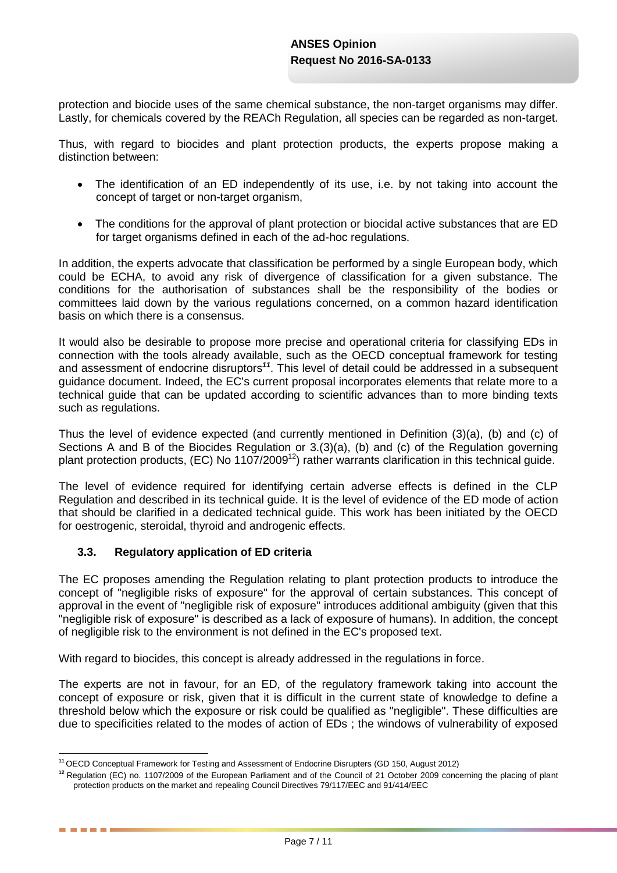protection and biocide uses of the same chemical substance, the non-target organisms may differ. Lastly, for chemicals covered by the REACh Regulation, all species can be regarded as non-target.

Thus, with regard to biocides and plant protection products, the experts propose making a distinction between:

- The identification of an ED independently of its use, i.e. by not taking into account the concept of target or non-target organism,
- The conditions for the approval of plant protection or biocidal active substances that are ED for target organisms defined in each of the ad-hoc regulations.

In addition, the experts advocate that classification be performed by a single European body, which could be ECHA, to avoid any risk of divergence of classification for a given substance. The conditions for the authorisation of substances shall be the responsibility of the bodies or committees laid down by the various regulations concerned, on a common hazard identification basis on which there is a consensus.

It would also be desirable to propose more precise and operational criteria for classifying EDs in connection with the tools already available, such as the OECD conceptual framework for testing and assessment of endocrine disruptors*<sup>11</sup>*. This level of detail could be addressed in a subsequent guidance document. Indeed, the EC's current proposal incorporates elements that relate more to a technical guide that can be updated according to scientific advances than to more binding texts such as regulations.

Thus the level of evidence expected (and currently mentioned in Definition (3)(a), (b) and (c) of Sections A and B of the Biocides Regulation or 3.(3)(a), (b) and (c) of the Regulation governing plant protection products, (EC) No 1107/2009<sup>12</sup>) rather warrants clarification in this technical guide.

The level of evidence required for identifying certain adverse effects is defined in the CLP Regulation and described in its technical guide. It is the level of evidence of the ED mode of action that should be clarified in a dedicated technical guide. This work has been initiated by the OECD for oestrogenic, steroidal, thyroid and androgenic effects.

# **3.3. Regulatory application of ED criteria**

. . . .

The EC proposes amending the Regulation relating to plant protection products to introduce the concept of "negligible risks of exposure" for the approval of certain substances. This concept of approval in the event of "negligible risk of exposure" introduces additional ambiguity (given that this "negligible risk of exposure" is described as a lack of exposure of humans). In addition, the concept of negligible risk to the environment is not defined in the EC's proposed text.

With regard to biocides, this concept is already addressed in the regulations in force.

The experts are not in favour, for an ED, of the regulatory framework taking into account the concept of exposure or risk, given that it is difficult in the current state of knowledge to define a threshold below which the exposure or risk could be qualified as "negligible". These difficulties are due to specificities related to the modes of action of EDs ; the windows of vulnerability of exposed

<sup>1</sup> **<sup>11</sup>** OECD [Conceptual Framework for Testing and Assessment of Endocrine Disrupters](http://www.oecd.org/env/ehs/testing/OECD%20Conceptual%20Framework%20for%20Testing%20and%20Assessment%20of%20Endocrine%20Disrupters%20for%20the%20public%20website.pdf) (GD 150, August 2012)

**<sup>12</sup>** Regulation (EC) no. 1107/2009 of the European Parliament and of the Council of 21 October 2009 concerning the placing of plant protection products on the market and repealing Council Directives 79/117/EEC and 91/414/EEC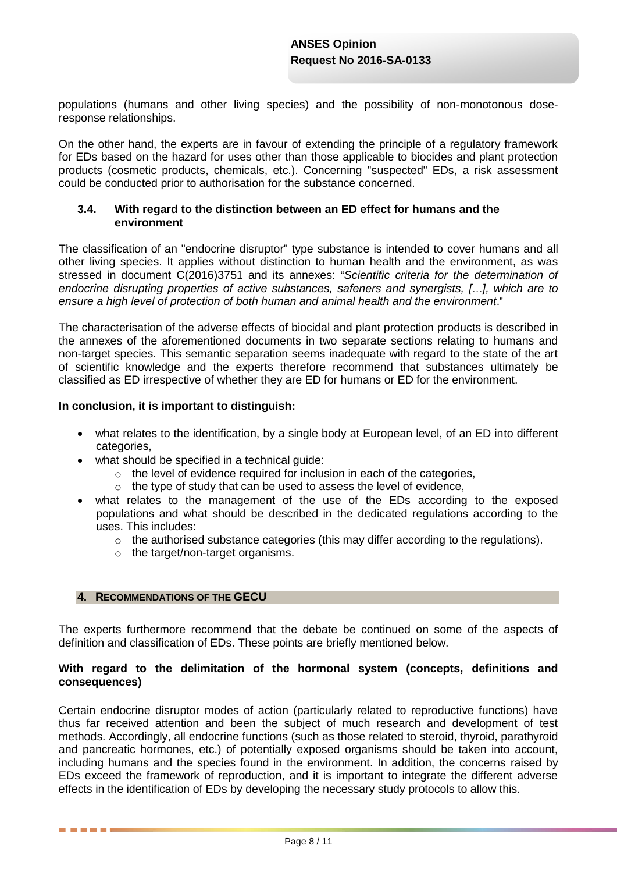populations (humans and other living species) and the possibility of non-monotonous doseresponse relationships.

On the other hand, the experts are in favour of extending the principle of a regulatory framework for EDs based on the hazard for uses other than those applicable to biocides and plant protection products (cosmetic products, chemicals, etc.). Concerning "suspected" EDs, a risk assessment could be conducted prior to authorisation for the substance concerned.

### **3.4. With regard to the distinction between an ED effect for humans and the environment**

The classification of an "endocrine disruptor" type substance is intended to cover humans and all other living species. It applies without distinction to human health and the environment, as was stressed in document C(2016)3751 and its annexes: "*Scientific criteria for the determination of endocrine disrupting properties of active substances, safeners and synergists, [*…*], which are to ensure a high level of protection of both human and animal health and the environment*."

The characterisation of the adverse effects of biocidal and plant protection products is described in the annexes of the aforementioned documents in two separate sections relating to humans and non-target species. This semantic separation seems inadequate with regard to the state of the art of scientific knowledge and the experts therefore recommend that substances ultimately be classified as ED irrespective of whether they are ED for humans or ED for the environment.

### **In conclusion, it is important to distinguish:**

- what relates to the identification, by a single body at European level, of an ED into different categories,
- what should be specified in a technical quide:
	- $\circ$  the level of evidence required for inclusion in each of the categories,
	- o the type of study that can be used to assess the level of evidence,
- what relates to the management of the use of the EDs according to the exposed populations and what should be described in the dedicated regulations according to the uses. This includes:
	- $\circ$  the authorised substance categories (this may differ according to the regulations).
	- o the target/non-target organisms.

### **4. RECOMMENDATIONS OF THE GECU**

. . . .

The experts furthermore recommend that the debate be continued on some of the aspects of definition and classification of EDs. These points are briefly mentioned below.

### **With regard to the delimitation of the hormonal system (concepts, definitions and consequences)**

Certain endocrine disruptor modes of action (particularly related to reproductive functions) have thus far received attention and been the subject of much research and development of test methods. Accordingly, all endocrine functions (such as those related to steroid, thyroid, parathyroid and pancreatic hormones, etc.) of potentially exposed organisms should be taken into account, including humans and the species found in the environment. In addition, the concerns raised by EDs exceed the framework of reproduction, and it is important to integrate the different adverse effects in the identification of EDs by developing the necessary study protocols to allow this.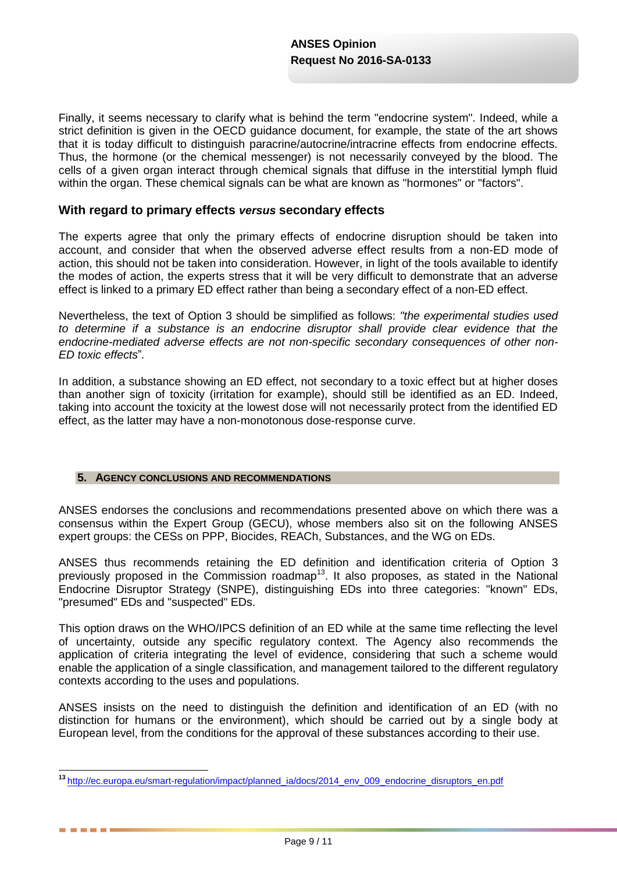Finally, it seems necessary to clarify what is behind the term "endocrine system". Indeed, while a strict definition is given in the OECD guidance document, for example, the state of the art shows that it is today difficult to distinguish paracrine/autocrine/intracrine effects from endocrine effects. Thus, the hormone (or the chemical messenger) is not necessarily conveyed by the blood. The cells of a given organ interact through chemical signals that diffuse in the interstitial lymph fluid within the organ. These chemical signals can be what are known as "hormones" or "factors".

### **With regard to primary effects** *versus* **secondary effects**

The experts agree that only the primary effects of endocrine disruption should be taken into account, and consider that when the observed adverse effect results from a non-ED mode of action, this should not be taken into consideration. However, in light of the tools available to identify the modes of action, the experts stress that it will be very difficult to demonstrate that an adverse effect is linked to a primary ED effect rather than being a secondary effect of a non-ED effect.

Nevertheless, the text of Option 3 should be simplified as follows: *"the experimental studies used to determine if a substance is an endocrine disruptor shall provide clear evidence that the endocrine-mediated adverse effects are not non-specific secondary consequences of other non-ED toxic effects*"*.*

In addition, a substance showing an ED effect, not secondary to a toxic effect but at higher doses than another sign of toxicity (irritation for example), should still be identified as an ED. Indeed, taking into account the toxicity at the lowest dose will not necessarily protect from the identified ED effect, as the latter may have a non-monotonous dose-response curve.

### **5. AGENCY CONCLUSIONS AND RECOMMENDATIONS**

 $\overline{1}$ 

. . . .

ANSES endorses the conclusions and recommendations presented above on which there was a consensus within the Expert Group (GECU), whose members also sit on the following ANSES expert groups: the CESs on PPP, Biocides, REACh, Substances, and the WG on EDs.

ANSES thus recommends retaining the ED definition and identification criteria of Option 3 previously proposed in the Commission roadmap<sup>13</sup>. It also proposes, as stated in the National Endocrine Disruptor Strategy (SNPE), distinguishing EDs into three categories: "known" EDs, "presumed" EDs and "suspected" EDs.

This option draws on the WHO/IPCS definition of an ED while at the same time reflecting the level of uncertainty, outside any specific regulatory context. The Agency also recommends the application of criteria integrating the level of evidence, considering that such a scheme would enable the application of a single classification, and management tailored to the different regulatory contexts according to the uses and populations.

ANSES insists on the need to distinguish the definition and identification of an ED (with no distinction for humans or the environment), which should be carried out by a single body at European level, from the conditions for the approval of these substances according to their use.

**<sup>13</sup>** [http://ec.europa.eu/smart-regulation/impact/planned\\_ia/docs/2014\\_env\\_009\\_endocrine\\_disruptors\\_en.pdf](http://ec.europa.eu/smart-regulation/impact/planned_ia/docs/2014_env_009_endocrine_disruptors_en.pdf)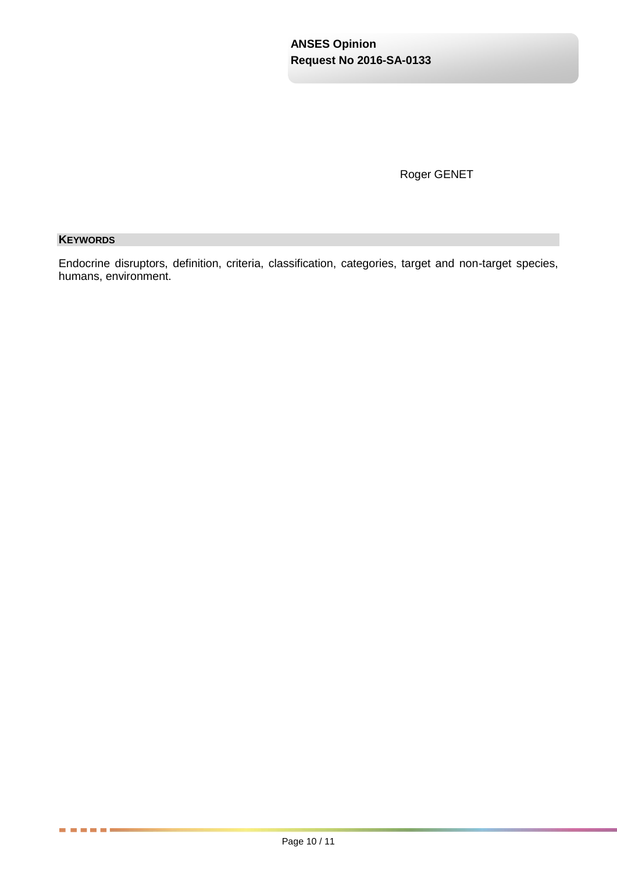Roger GENET

# **KEYWORDS**

. . . . . .

Endocrine disruptors, definition, criteria, classification, categories, target and non-target species, humans, environment.